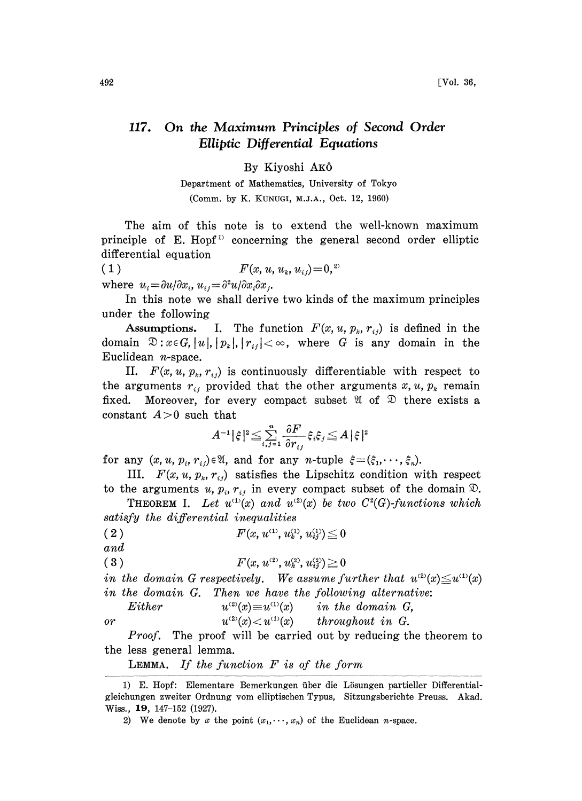## 117. On the Maximum Principles of Second Order Elliptic Differential Equations

## By Kiyoshi AK6

Department of Mathematics, University of Tokyo (Comm. by K. KUNUGI, M.J.A., Oct. 12, 1960)

The aim of this note is to extend the well-known maximum principle of E. Hopf<sup>1</sup> concerning the general second order elliptic differential equation

( 1 )  $F(x, u, u_k, u_{ij}) = 0,$ <sup>2)</sup>

where  $u_i = \frac{\partial u}{\partial x_i}$ ,  $u_{ij} = \frac{\partial^2 u}{\partial x_i \partial x_j}$ .

In this note we shall derive two kinds of the maximum principles under the following

Assumptions. I. The function  $F(x, u, p_k, r_{ij})$  is defined in the domain  $\mathfrak{D}:x \in G, |u|, |p_k|, |r_{ij}| < \infty$ , where G is any domain in the Euclidean  $n$ -space.

II.  $F(x, u, p_k, r_{ij})$  is continuously differentiable with respect to the arguments  $r_{ij}$  provided that the other arguments  $x, u, p_k$  remain fixed. Moreover, for every compact subset  $\mathfrak{A}$  of  $\mathfrak{D}$  there exists a Moreover, for every compact subset  $\mathfrak A$  of  $\mathfrak D$  there exists a constant  $A>0$  such that

$$
A^{-1}|\hspace{.05cm}\hat{\varepsilon}\hspace{.05cm}\hspace{.05cm}|^2\hspace{-.1cm}\leq\hspace{-.1cm}\sum_{i,j=1}^n\frac{\partial F}{\partial r_{i,j}}\hspace{.05cm}\xi_i\hspace{.05cm}\xi_j\hspace{.05cm}\leq\hspace{.05cm} A\hspace{.05cm}|\hspace{.05cm}\hat{\varepsilon}\hspace{.05cm}\hspace{.05cm}|^2
$$

for any  $(x, u, p_i, r_{ij}) \in \mathfrak{A}$ , and for any *n*-tuple  $\xi = (\xi_1, \dots, \xi_n)$ .

III.  $F(x, u, p_k, r_{ij})$  satisfies the Lipschitz condition with respect to the arguments u,  $p_i$ ,  $r_{ij}$  in every compact subset of the domain  $\mathfrak{D}$ .

**THEOREM I.** Let  $u^{(1)}(x)$  and  $u^{(2)}(x)$  be two  $C^2(G)$ -functions which satisfy the differential inequalities

( 2 )  $F(x, u^{\text{\tiny (1)}}, u^{\text{\tiny (1)}}_k, u^{\text{\tiny (1)}}_i) \leq 0$ and

$$
(3) \tF(x,u^{\scriptscriptstyle (2)},u^{\scriptscriptstyle (2)}_k,u^{\scriptscriptstyle (2)}_{ij})\!\geqq\!0
$$

in the domain G respectively. We assume further that  $u^{(2)}(x) \leq u^{(1)}(x)$ in the domain G. Then we have the following alternative:

Either  $u^{(2)}(x) \equiv u^{(1)}(x)$  in the domain G, or  $u^{(2)}(x) < u^{(1)}(x)$  throughout in G.

*Proof.* The proof will be carried out by reducing the theorem to the less general lemma.

**LEMMA.** If the function  $F$  is of the form

<sup>1)</sup> E. Hopf: Elementare Bemerkungen über die Lösungen partieller Differentialgleichungen zweiter Ordnung vom elliptischen Typus, Sitzungsberichte Preuss. Akad. Wiss., 19, 147-152 (1927).

<sup>2)</sup> We denote by x the point  $(x_1, \dots, x_n)$  of the Euclidean n-space.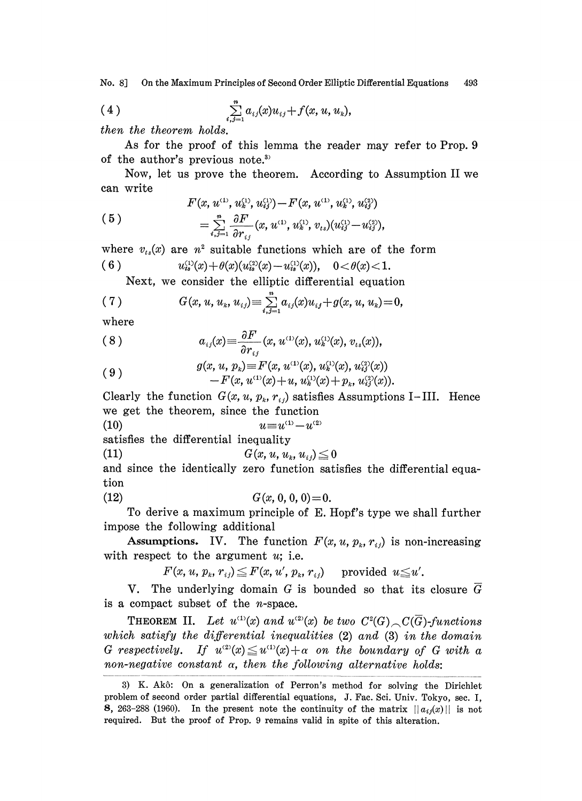No. 8J On the Maximum Principles of Second Order Elliptic Differential Equations 493

(4) 
$$
\sum_{i,j=1}^n a_{ij}(x)u_{ij} + f(x, u, u_k),
$$

then the theorem holds.

As for the proof of this lemma the reader may refer to Prop. 9 of the author's previous note.<sup>3)</sup>

Now, let us prove the theorem. According to Assumption II we can write

(5) 
$$
F(x, u^{(1)}, u^{(1)}_k, u^{(1)}_{ij}) - F(x, u^{(1)}, u^{(1)}_k, u^{(2)}_{ij})
$$

$$
= \sum_{i,j=1}^n \frac{\partial F}{\partial r_{ij}}(x, u^{(1)}, u^{(1)}_k, v_{ts})(u^{(1)}_{ij} - u^{(2)}_{ij}),
$$

where  $v_{ts}(x)$  are  $n^2$  suitable functions which are of the form  $(6)$  $u_{is}^{(1)}(x)+\theta(x)(u_{is}^{(2)}(x)-u_{is}^{(1)}(x)), \quad 0<\theta(x)<1.$ 

Next. we consider the elliptic differential equation

(7) 
$$
G(x, u, u_k, u_{ij}) = \sum_{i,j=1}^n a_{ij}(x)u_{ij} + g(x, u, u_k) = 0,
$$

where

$$
(8) \t a_{ij}(x) \equiv \frac{\partial F}{\partial r_{ij}}(x, u^{(1)}(x), u^{(1)}_k(x), v_{is}(x)),
$$

(9) 
$$
g(x, u, p_k) \equiv F(x, u^{(1)}(x), u_k^{(1)}(x), u_{ij}^{(2)}(x)) - F(x, u^{(1)}(x) + u, u_k^{(1)}(x) + p_k, u_{ij}^{(2)}(x)).
$$

Clearly the function  $G(x, u, p_k, r_{ij})$  satisfies Assumptions I-III. Hence we get the theorem, since the function

$$
(10) \t u \equiv u^{(1)} - u^{(1)}
$$

satisfies the differential inequality

$$
(11) \tG(x, u, u_k, u_{ij}) \leq 0
$$

and since the identically zero function satisfies the differential equation

$$
(12) \tG(x, 0, 0, 0) = 0.
$$

To derive a maximum principle of E. Hopf's type we shall further impose the following additional

Assumptions. IV. The function  $F(x, u, p_k, r_{ij})$  is non-increasing with respect to the argument  $u$ ; i.e.

$$
F(x, u, p_k, r_{ij}) \leq F(x, u', p_k, r_{ij}) \quad \text{ provided } u \leq u'.
$$

V. The underlying domain G is bounded so that its closure  $\overline{G}$ is a compact subset of the  $n$ -space.

**THEOREM II.** Let  $u^{(1)}(x)$  and  $u^{(2)}(x)$  be two  $C^2(G)$ ,  $C(\overline{G})$ -functions which satisfy the differential inequalities (2) and (3) in the domain G respectively. If  $u^{(2)}(x) \leq u^{(1)}(x) + \alpha$  on the boundary of G with a non-negative constant  $\alpha$ , then the following alternative holds:

<sup>3)</sup> K. AkS: On a generalization of Perron's method for solving the Dirichlet problem of second order partial differential equations, J. Fac. Sci. Univ. Tokyo, sec. I, 8, 263-288 (1960). In the present note the continuity of the matrix  $||a_{ij}(x)||$  is not required. But the proof of Prop. 9 remains valid in spite of this alteration.